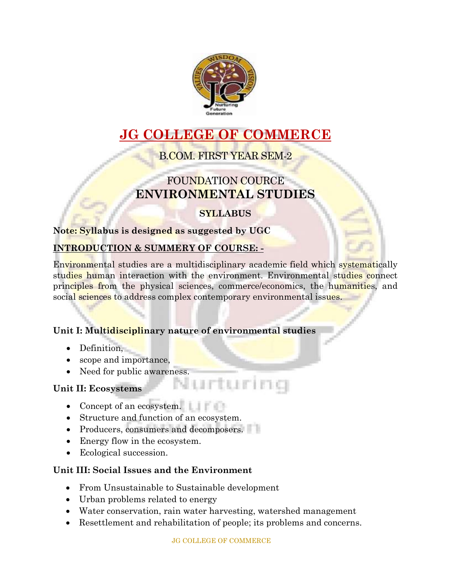

# **JG COLLEGE OF COMMERCE**

## B.COM. FIRST YEAR SEM-2

## FOUNDATION COURCE **ENVIRONMENTAL STUDIES**

## **SYLLABUS**

#### **Note: Syllabus is designed as suggested by UGC**

#### **INTRODUCTION & SUMMERY OF COURSE: -**

Environmental studies are a multidisciplinary academic field which systematically studies human interaction with the environment. Environmental studies connect principles from the physical sciences, commerce/economics, the humanities, and social sciences to address complex contemporary environmental issues.

#### **Unit I: Multidisciplinary nature of environmental studies**

- Definition,
- scope and importance,
- Need for public awareness.<br>it II: Ecosystems

#### **Unit II: Ecosystems**

- Concept of an ecosystem.
- Structure and function of an ecosystem.
- Producers, consumers and decomposers.
- Energy flow in the ecosystem.
- Ecological succession.

#### **Unit III: Social Issues and the Environment**

- From Unsustainable to Sustainable development
- Urban problems related to energy
- Water conservation, rain water harvesting, watershed management
- Resettlement and rehabilitation of people; its problems and concerns.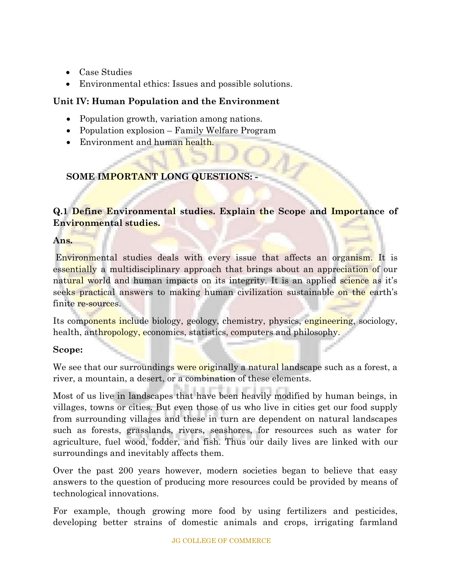- Case Studies
- Environmental ethics: Issues and possible solutions.

#### **Unit IV: Human Population and the Environment**

- Population growth, variation among nations.
- Population explosion Family Welfare Program
- Environment and human health.

## **SOME IMPORTANT LONG QUESTIONS: -**

#### **Q.1 Define Environmental studies. Explain the Scope and Importance of Environmental studies.**

**Ans.**

Environmental studies deals with every issue that affects an organism. It is essentially a multidisciplinary approach that brings about an appreciation of our natural world and human impacts on its integrity. It is an applied science as it's seeks practical answers to making human civilization sustainable on the earth's finite re-sources.

Its components include biology, geology, chemistry, physics, engineering, sociology, health, anthropology, economics, statistics, computers and philosophy.

#### **Scope:**

We see that our surroundings were originally a natural landscape such as a forest, a river, a mountain, a desert, or a combination of these elements.

Most of us live in landscapes that have been heavily modified by human beings, in villages, towns or cities. But even those of us who live in cities get our food supply from surrounding villages and these in turn are dependent on natural landscapes such as forests, grasslands, rivers, seashores, for resources such as water for agriculture, fuel wood, fodder, and fish. Thus our daily lives are linked with our surroundings and inevitably affects them.

Over the past 200 years however, modern societies began to believe that easy answers to the question of producing more resources could be provided by means of technological innovations.

For example, though growing more food by using fertilizers and pesticides, developing better strains of domestic animals and crops, irrigating farmland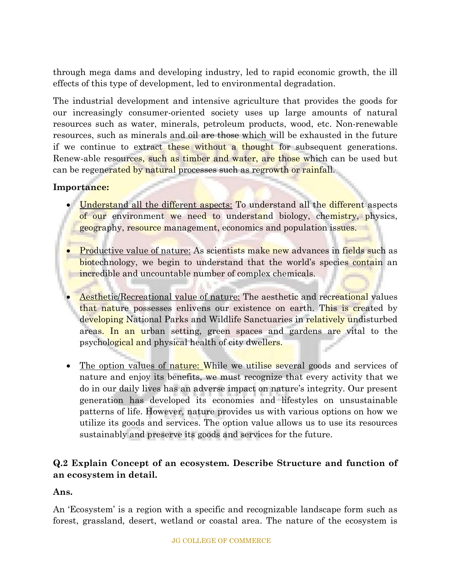through mega dams and developing industry, led to rapid economic growth, the ill effects of this type of development, led to environmental degradation.

The industrial development and intensive agriculture that provides the goods for our increasingly consumer-oriented society uses up large amounts of natural resources such as water, minerals, petroleum products, wood, etc. Non-renewable resources, such as minerals and oil are those which will be exhausted in the future if we continue to extract these without a thought for subsequent generations. Renew-able resources, such as timber and water, are those which can be used but can be regenerated by natural processes such as regrowth or rainfall.

#### **Importance:**

- Understand all the different aspects: To understand all the different aspects of our environment we need to understand biology, chemistry, physics, geography, resource management, economics and population issues.
- **Productive value of nature:** As scientists make new advances in fields such as biotechnology, we begin to understand that the world's species contain an incredible and uncountable number of complex chemicals.
- Aesthetic/Recreational value of nature: The aesthetic and recreational values that nature possesses enlivens our existence on earth. This is created by developing National Parks and Wildlife Sanctuaries in relatively undisturbed areas. In an urban setting, green spaces and gardens are vital to the psychological and physical health of city dwellers.
- The option values of nature: While we utilise several goods and services of nature and enjoy its benefits, we must recognize that every activity that we do in our daily lives has an adverse impact on nature's integrity. Our present generation has developed its economies and lifestyles on unsustainable patterns of life. However, nature provides us with various options on how we utilize its goods and services. The option value allows us to use its resources sustainably and preserve its goods and services for the future.

#### **Q.2 Explain Concept of an ecosystem. Describe Structure and function of an ecosystem in detail.**

#### **Ans.**

An 'Ecosystem' is a region with a specific and recognizable landscape form such as forest, grassland, desert, wetland or coastal area. The nature of the ecosystem is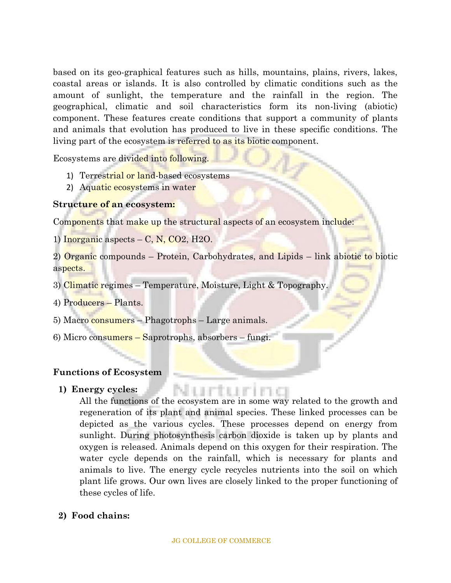based on its geo-graphical features such as hills, mountains, plains, rivers, lakes, coastal areas or islands. It is also controlled by climatic conditions such as the amount of sunlight, the temperature and the rainfall in the region. The geographical, climatic and soil characteristics form its non-living (abiotic) component. These features create conditions that support a community of plants and animals that evolution has produced to live in these specific conditions. The living part of the ecosystem is referred to as its biotic component.

Ecosystems are divided into following.

- 1) Terrestrial or land-based ecosystems
- 2) Aquatic ecosystems in water

#### **Structure of an ecosystem:**

Components that make up the structural aspects of an ecosystem include:

1) Inorganic aspects  $-$  C, N, CO2, H2O.

2) Organic compounds – Protein, Carbohydrates, and Lipids – link abiotic to biotic aspects.

- 3) Climatic regimes Temperature, Moisture, Light & Topography.
- 4) Producers Plants.
- 5) Macro consumers Phagotrophs Large animals.
- 6) Micro consumers Saprotrophs, absorbers fungi.

#### **Functions of Ecosystem**

#### **1) Energy cycles:**

All the functions of the ecosystem are in some way related to the growth and regeneration of its plant and animal species. These linked processes can be depicted as the various cycles. These processes depend on energy from sunlight. During photosynthesis carbon dioxide is taken up by plants and oxygen is released. Animals depend on this oxygen for their respiration. The water cycle depends on the rainfall, which is necessary for plants and animals to live. The energy cycle recycles nutrients into the soil on which plant life grows. Our own lives are closely linked to the proper functioning of these cycles of life.

#### **2) Food chains:**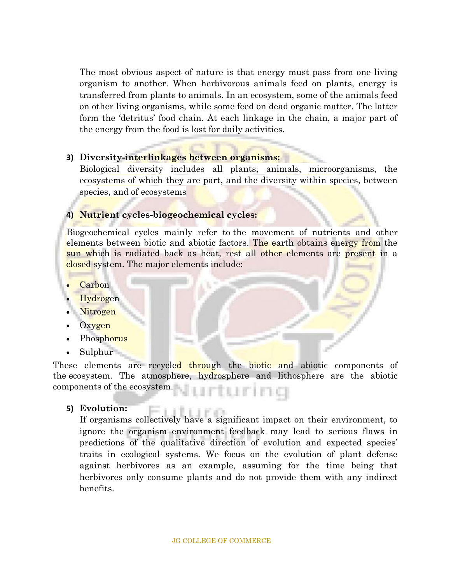The most obvious aspect of nature is that energy must pass from one living organism to another. When herbivorous animals feed on plants, energy is transferred from plants to animals. In an ecosystem, some of the animals feed on other living organisms, while some feed on dead organic matter. The latter form the 'detritus' food chain. At each linkage in the chain, a major part of the energy from the food is lost for daily activities.

#### **3) Diversity-interlinkages between organisms:**

Biological diversity includes all plants, animals, microorganisms, the ecosystems of which they are part, and the diversity within species, between species, and of ecosystems

#### **4) Nutrient cycles-biogeochemical cycles:**

Biogeochemical cycles mainly refer to the movement of nutrients and other elements between biotic and abiotic factors. The earth obtains energy from the sun which is radiated back as heat, rest all other elements are present in a closed system. The major elements include:

- **Carbon**
- Hydrogen
- Nitrogen
- Oxygen
- **Phosphorus**
- Sulphur

These elements are recycled through the biotic and abiotic components of the ecosystem. The atmosphere, hydrosphere and lithosphere are the abiotic components of the ecosystem.

#### **5) Evolution:**

**Evolution:**<br>If organisms collectively have a significant impact on their environment, to ignore the organism–environment feedback may lead to serious flaws in predictions of the qualitative direction of evolution and expected species' traits in ecological systems. We focus on the evolution of plant defense against herbivores as an example, assuming for the time being that herbivores only consume plants and do not provide them with any indirect benefits.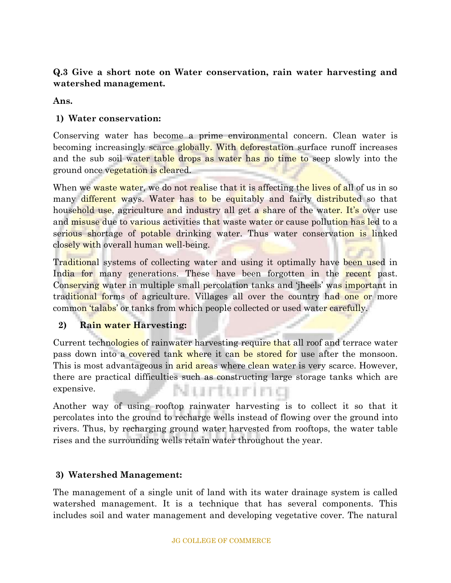#### **Q.3 Give a short note on Water conservation, rain water harvesting and watershed management.**

#### **Ans.**

## **1) Water conservation:**

Conserving water has become a prime environmental concern. Clean water is becoming increasingly scarce globally. With deforestation surface runoff increases and the sub soil water table drops as water has no time to seep slowly into the ground once vegetation is cleared.

When we waste water, we do not realise that it is affecting the lives of all of us in so many different ways. Water has to be equitably and fairly distributed so that household use, agriculture and industry all get a share of the water. It's over use and misuse due to various activities that waste water or cause pollution has led to a serious shortage of potable drinking water. Thus water conservation is linked closely with overall human well-being.

Traditional systems of collecting water and using it optimally have been used in India for many generations. These have been forgotten in the recent past. Conserving water in multiple small percolation tanks and 'jheels' was important in traditional forms of agriculture. Villages all over the country had one or more common 'talabs' or tanks from which people collected or used water carefully.

#### **2) Rain water Harvesting:**

Current technologies of rainwater harvesting require that all roof and terrace water pass down into a covered tank where it can be stored for use after the monsoon. This is most advantageous in arid areas where clean water is very scarce. However, there are practical difficulties such as constructing large storage tanks which are expensive. Nurturing

Another way of using rooftop rainwater harvesting is to collect it so that it percolates into the ground to recharge wells instead of flowing over the ground into rivers. Thus, by recharging ground water harvested from rooftops, the water table rises and the surrounding wells retain water throughout the year.

## **3) Watershed Management:**

The management of a single unit of land with its water drainage system is called watershed management. It is a technique that has several components. This includes soil and water management and developing vegetative cover. The natural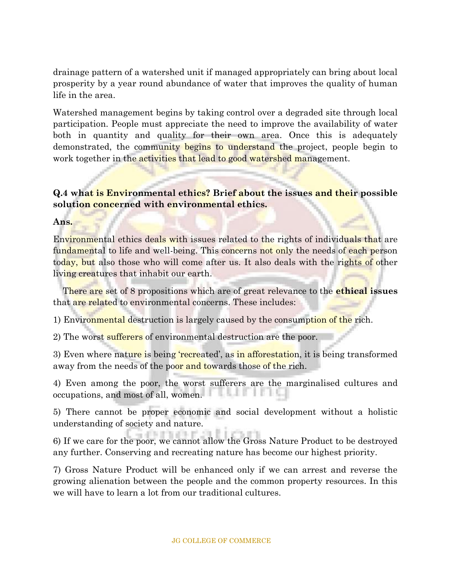drainage pattern of a watershed unit if managed appropriately can bring about local prosperity by a year round abundance of water that improves the quality of human life in the area.

Watershed management begins by taking control over a degraded site through local participation. People must appreciate the need to improve the availability of water both in quantity and quality for their own area. Once this is adequately demonstrated, the community begins to understand the project, people begin to work together in the activities that lead to good watershed management.

#### **Q.4 what is Environmental ethics? Brief about the issues and their possible solution concerned with environmental ethics.**

**Ans.** 

Environmental ethics deals with issues related to the rights of individuals that are fundamental to life and well-being. This concerns not only the needs of each person today, but also those who will come after us. It also deals with the rights of other living creatures that inhabit our earth.

 There are set of 8 propositions which are of great relevance to the **ethical issues** that are related to environmental concerns. These includes:

1) Environmental destruction is largely caused by the consumption of the rich.

2) The worst sufferers of environmental destruction are the poor.

3) Even where nature is being 'recreated', as in afforestation, it is being transformed away from the needs of the poor and towards those of the rich.

4) Even among the poor, the worst sufferers are the marginalised cultures and occupations, and most of all, women.

5) There cannot be proper economic and social development without a holistic understanding of society and nature.

6) If we care for the poor, we cannot allow the Gross Nature Product to be destroyed any further. Conserving and recreating nature has become our highest priority.

7) Gross Nature Product will be enhanced only if we can arrest and reverse the growing alienation between the people and the common property resources. In this we will have to learn a lot from our traditional cultures.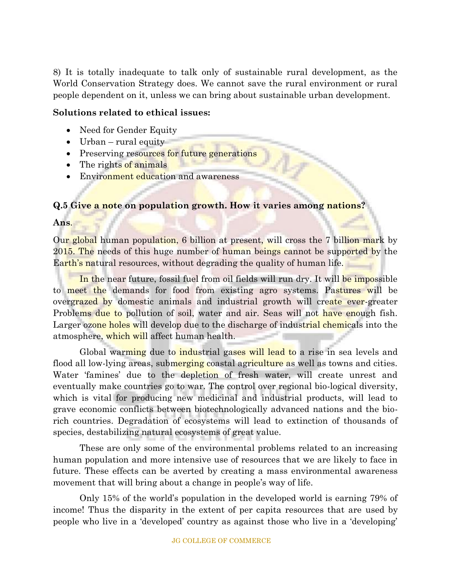8) It is totally inadequate to talk only of sustainable rural development, as the World Conservation Strategy does. We cannot save the rural environment or rural people dependent on it, unless we can bring about sustainable urban development.

#### **Solutions related to ethical issues:**

- Need for Gender Equity
- Urban rural equity
- Preserving resources for future generations
- The rights of animals
- Environment education and awareness

#### **Q.5 Give a note on population growth. How it varies among nations?**

**Ans**.

Our global human population, 6 billion at present, will cross the 7 billion mark by 2015. The needs of this huge number of human beings cannot be supported by the Earth's natural resources, without degrading the quality of human life.

In the near future, fossil fuel from oil fields will run dry. It will be impossible to meet the demands for food from existing agro systems. Pastures will be overgrazed by domestic animals and industrial growth will create ever-greater Problems due to pollution of soil, water and air. Seas will not have enough fish. Larger ozone holes will develop due to the discharge of industrial chemicals into the atmosphere, which will affect human health.

Global warming due to industrial gases will lead to a rise in sea levels and flood all low-lying areas, submerging coastal agriculture as well as towns and cities. Water 'famines' due to the depletion of fresh water, will create unrest and eventually make countries go to war. The control over regional bio-logical diversity, which is vital for producing new medicinal and industrial products, will lead to grave economic conflicts between biotechnologically advanced nations and the biorich countries. Degradation of ecosystems will lead to extinction of thousands of species, destabilizing natural ecosystems of great value.

These are only some of the environmental problems related to an increasing human population and more intensive use of resources that we are likely to face in future. These effects can be averted by creating a mass environmental awareness movement that will bring about a change in people's way of life.

Only 15% of the world's population in the developed world is earning 79% of income! Thus the disparity in the extent of per capita resources that are used by people who live in a 'developed' country as against those who live in a 'developing'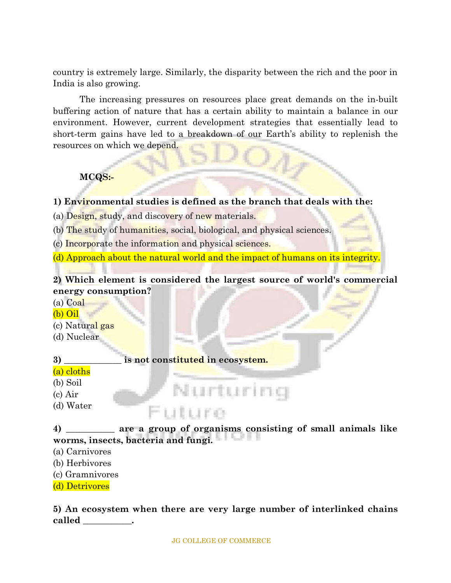country is extremely large. Similarly, the disparity between the rich and the poor in India is also growing.

The increasing pressures on resources place great demands on the in-built buffering action of nature that has a certain ability to maintain a balance in our environment. However, current development strategies that essentially lead to short-term gains have led to a breakdown of our Earth's ability to replenish the resources on which we depend.

## **MCQS:-**

#### **1) Environmental studies is defined as the branch that deals with the:**

(a) Design, study, and discovery of new materials.

(b) The study of humanities, social, biological, and physical sciences.

(c) Incorporate the information and physical sciences.

(d) Approach about the natural world and the impact of humans on its integrity.

### **2) Which element is considered the largest source of world's commercial energy consumption?**

- (a) Coal
- (b) Oil
- (c) Natural gas
- (d) Nuclear

**3) \_\_\_\_\_\_\_\_\_\_\_\_\_ is not constituted in ecosystem.**

uture

#### (a) cloths

(b) Soil

- (c) Air
- (d) Water

**4) \_\_\_\_\_\_\_\_\_\_\_ are a group of organisms consisting of small animals like worms, insects, bacteria and fungi.**

Nurturing

(a) Carnivores

(b) Herbivores

(c) Gramnivores

(d) Detrivores

**5) An ecosystem when there are very large number of interlinked chains called \_\_\_\_\_\_\_\_\_\_\_.**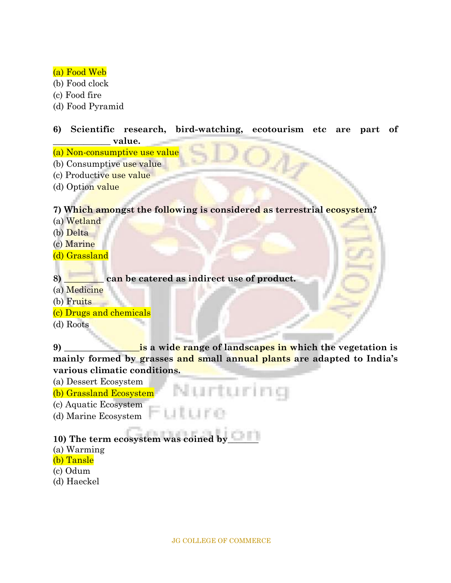#### (a) Food Web

- (b) Food clock
- (c) Food fire
- (d) Food Pyramid

#### **6) Scientific research, bird-watching, ecotourism etc are part of \_\_\_\_\_\_\_\_\_\_\_\_\_ value.**

- (a) Non-consumptive use value
- (b) Consumptive use value
- (c) Productive use value
- (d) Option value

#### **7) Which amongst the following is considered as terrestrial ecosystem?**

- (a) Wetland
- (b) Delta
- (c) Marine
- (d) Grassland

#### **8) \_\_\_\_\_\_\_\_\_ can be catered as indirect use of product.**

- (a) Medicine
- (b) Fruits

#### (c) Drugs and chemicals

(d) Roots

**9) \_\_\_\_\_\_\_\_\_\_\_\_\_\_\_\_\_is a wide range of landscapes in which the vegetation is mainly formed by grasses and small annual plants are adapted to India's various climatic conditions.**

- (a) Dessert Ecosystem
- Nurturing (b) Grassland Ecosystem
- (c) Aquatic Ecosystem
- (d) Marine Ecosystem

## **10) The term ecosystem was coined by\_\_\_\_\_\_\_**

- (a) Warming
- (b) Tansle
- (c) Odum
- (d) Haeckel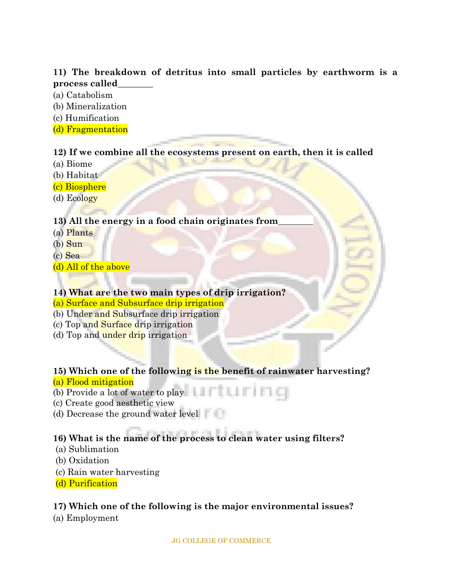#### **11) The breakdown of detritus into small particles by earthworm is a process called\_\_\_\_\_\_\_\_**

- (a) Catabolism
- (b) Mineralization
- (c) Humification
- (d) Fragmentation

#### **12) If we combine all the ecosystems present on earth, then it is called**

- (a) Biome
- (b) Habitat
- (c) Biosphere
- (d) Ecology

## **13) All the energy in a food chain originates from\_\_\_\_\_\_\_\_**

- (a) Plants
- (b) Sun
- (c) Sea
- (d) All of the above

#### **14) What are the two main types of drip irrigation?**

#### (a) Surface and Subsurface drip irrigation

- (b) Under and Subsurface drip irrigation
- (c) Top and Surface drip irrigation
- (d) Top and under drip irrigation

#### **15) Which one of the following is the benefit of rainwater harvesting?**

#### (a) Flood mitigation

- (b) Provide a lot of water to play
- (c) Create good aesthetic view
- (d) Decrease the ground water level

## **16) What is the name of the process to clean water using filters?**

- (a) Sublimation
- (b) Oxidation
- (c) Rain water harvesting
- (d) Purification

## **17) Which one of the following is the major environmental issues?**

(a) Employment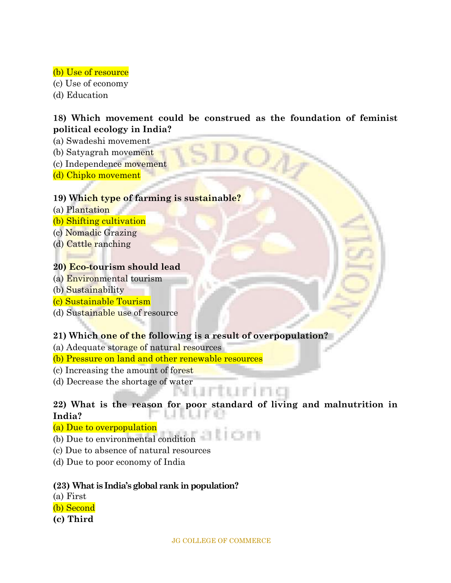#### (b) Use of resource

(c) Use of economy

(d) Education

#### **18) Which movement could be construed as the foundation of feminist political ecology in India?**

 $O_A$ 

- (a) Swadeshi movement
- (b) Satyagrah movement
- (c) Independence movement
- (d) Chipko movement

#### **19) Which type of farming is sustainable?**

- (a) Plantation
- (b) Shifting cultivation
- (c) Nomadic Grazing
- (d) Cattle ranching

#### **20) Eco-tourism should lead**

- (a) Environmental tourism
- (b) Sustainability
- (c) Sustainable Tourism
- (d) Sustainable use of resource

#### **21) Which one of the following is a result of overpopulation?**

- (a) Adequate storage of natural resources
- (b) Pressure on land and other renewable resources
- (c) Increasing the amount of forest
- (d) Decrease the shortage of water

#### **22) What is the reason for poor standard of living and malnutrition in**  L.L **India?**

#### (a) Due to overpopulation

- **ION** (b) Due to environmental condition
- (c) Due to absence of natural resources
- (d) Due to poor economy of India

#### **(23) What is India's global rank in population?**

- (a) First
- (b) Second
- **(c) Third**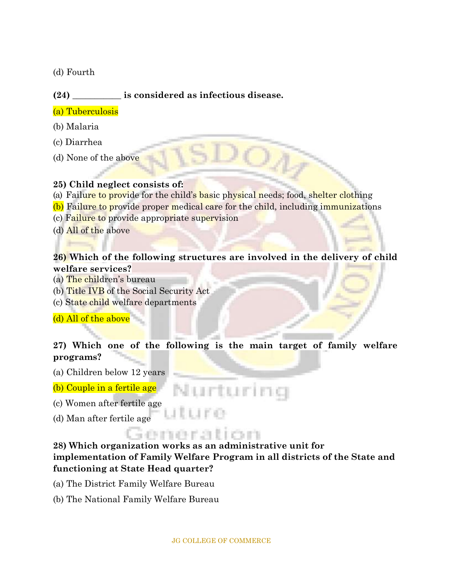(d) Fourth

#### **(24) \_\_\_\_\_\_\_\_\_\_\_ is considered as infectious disease.**

#### (a) Tuberculosis

- (b) Malaria
- (c) Diarrhea
- (d) None of the above

#### **25) Child neglect consists of:**

- (a)Failure to provide for the child's basic physical needs; food, shelter clothing
- (b) Failure to provide proper medical care for the child, including immunizations
- (c) Failure to provide appropriate supervision
- (d) All of the above

#### **26) Which of the following structures are involved in the delivery of child welfare services?**

- (a) The children's bureau
- (b) Title IVB of the Social Security Act
- (c) State child welfare departments

(d) All of the above

#### **27) Which one of the following is the main target of family welfare programs?**

Nurturing

(a) Children below 12 years

(b) Couple in a fertile age

(c) Women after fertile age

(d) Man after fertile age

## **SOFTHERNE**

t Lir ea

**28) Which organization works as an administrative unit for implementation of Family Welfare Program in all districts of the State and functioning at State Head quarter?**

- (a) The District Family Welfare Bureau
- (b) The National Family Welfare Bureau